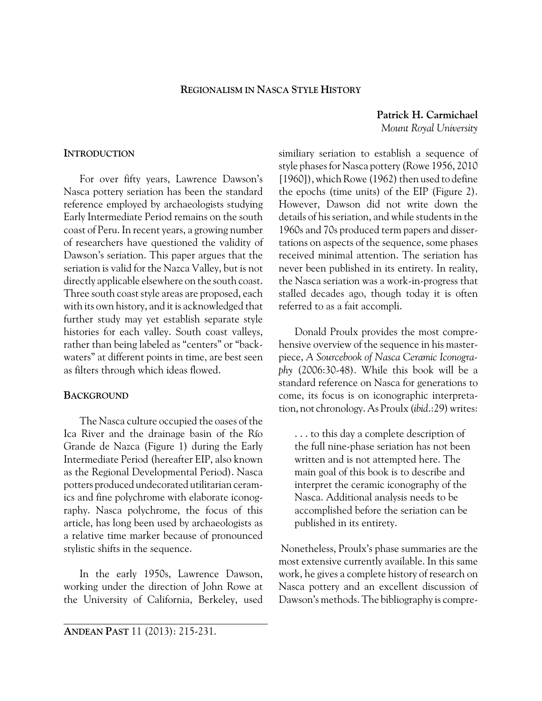## **REGIONALISM IN NASCA STYLE HISTORY**

**Patrick H. Carmichael** *Mount Royal University*

## **INTRODUCTION**

For over fifty years, Lawrence Dawson's Nasca pottery seriation has been the standard reference employed by archaeologists studying Early Intermediate Period remains on the south coast of Peru. In recent years, a growing number of researchers have questioned the validity of Dawson's seriation. This paper argues that the seriation is valid for the Nazca Valley, but is not directly applicable elsewhere on the south coast. Three south coast style areas are proposed, each with its own history, and it is acknowledged that further study may yet establish separate style histories for each valley. South coast valleys, rather than being labeled as "centers" or "backwaters" at different points in time, are best seen as filters through which ideas flowed.

## **BACKGROUND**

The Nasca culture occupied the oases of the Ica River and the drainage basin of the Río Grande de Nazca (Figure 1) during the Early Intermediate Period (hereafter EIP, also known as the Regional Developmental Period). Nasca potters produced undecorated utilitarian ceramics and fine polychrome with elaborate iconography. Nasca polychrome, the focus of this article, has long been used by archaeologists as a relative time marker because of pronounced stylistic shifts in the sequence.

In the early 1950s, Lawrence Dawson, working under the direction of John Rowe at the University of California, Berkeley, used similiary seriation to establish a sequence of style phases for Nasca pottery (Rowe 1956, 2010 [1960]), which Rowe (1962) then used to define the epochs (time units) of the EIP (Figure 2). However, Dawson did not write down the details of his seriation, and while students in the 1960s and 70s produced term papers and dissertations on aspects of the sequence, some phases received minimal attention. The seriation has never been published in its entirety. In reality, the Nasca seriation was a work-in-progress that stalled decades ago, though today it is often referred to as a fait accompli.

Donald Proulx provides the most comprehensive overview of the sequence in his masterpiece, *A Sourcebook of Nasca Ceramic Iconography* (2006:30-48). While this book will be a standard reference on Nasca for generations to come, its focus is on iconographic interpretation, not chronology. As Proulx (*ibid*.:29) writes:

. . . to this day a complete description of the full nine-phase seriation has not been written and is not attempted here. The main goal of this book is to describe and interpret the ceramic iconography of the Nasca. Additional analysis needs to be accomplished before the seriation can be published in its entirety.

 Nonetheless, Proulx's phase summaries are the most extensive currently available. In this same work, he gives a complete history of research on Nasca pottery and an excellent discussion of Dawson's methods. The bibliography is compre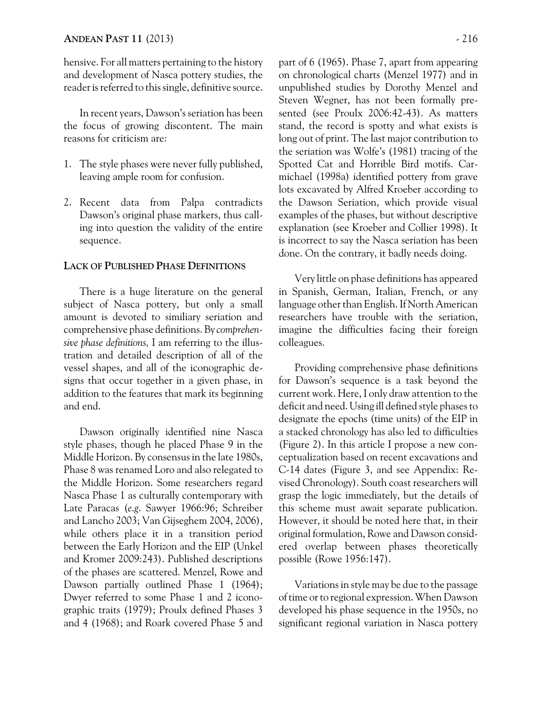hensive. For all matters pertaining to the history and development of Nasca pottery studies, the reader is referred to this single, definitive source.

In recent years, Dawson's seriation has been the focus of growing discontent. The main reasons for criticism are:

- 1. The style phases were never fully published, leaving ample room for confusion.
- 2. Recent data from Palpa contradicts Dawson's original phase markers, thus calling into question the validity of the entire sequence.

## **LACK OF PUBLISHED PHASE DEFINITIONS**

There is a huge literature on the general subject of Nasca pottery, but only a small amount is devoted to similiary seriation and comprehensive phase definitions. By *comprehensive phase definitions,* I am referring to the illustration and detailed description of all of the vessel shapes, and all of the iconographic designs that occur together in a given phase, in addition to the features that mark its beginning and end.

Dawson originally identified nine Nasca style phases, though he placed Phase 9 in the Middle Horizon. By consensus in the late 1980s, Phase 8 was renamed Loro and also relegated to the Middle Horizon. Some researchers regard Nasca Phase 1 as culturally contemporary with Late Paracas (*e*.*g*. Sawyer 1966:96; Schreiber and Lancho 2003; Van Gijseghem 2004, 2006), while others place it in a transition period between the Early Horizon and the EIP (Unkel and Kromer 2009:243). Published descriptions of the phases are scattered. Menzel, Rowe and Dawson partially outlined Phase 1 (1964); Dwyer referred to some Phase 1 and 2 iconographic traits (1979); Proulx defined Phases 3 and 4 (1968); and Roark covered Phase 5 and part of 6 (1965). Phase 7, apart from appearing on chronological charts (Menzel 1977) and in unpublished studies by Dorothy Menzel and Steven Wegner, has not been formally presented (see Proulx 2006:42-43). As matters stand, the record is spotty and what exists is long out of print. The last major contribution to the seriation was Wolfe's (1981) tracing of the Spotted Cat and Horrible Bird motifs. Carmichael (1998a) identified pottery from grave lots excavated by Alfred Kroeber according to the Dawson Seriation, which provide visual examples of the phases, but without descriptive explanation (see Kroeber and Collier 1998). It is incorrect to say the Nasca seriation has been done. On the contrary, it badly needs doing.

Very little on phase definitions has appeared in Spanish, German, Italian, French, or any language other than English. If North American researchers have trouble with the seriation, imagine the difficulties facing their foreign colleagues.

Providing comprehensive phase definitions for Dawson's sequence is a task beyond the current work. Here, I only draw attention to the deficit and need. Using ill defined style phases to designate the epochs (time units) of the EIP in a stacked chronology has also led to difficulties (Figure 2). In this article I propose a new conceptualization based on recent excavations and C-14 dates (Figure 3, and see Appendix: Revised Chronology). South coast researchers will grasp the logic immediately, but the details of this scheme must await separate publication. However, it should be noted here that, in their original formulation, Rowe and Dawson considered overlap between phases theoretically possible (Rowe 1956:147).

Variations in style may be due to the passage of time or to regional expression. When Dawson developed his phase sequence in the 1950s, no significant regional variation in Nasca pottery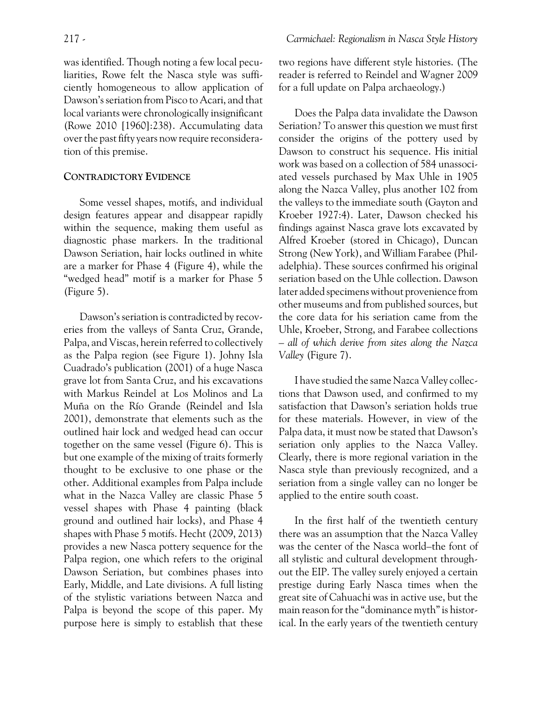was identified. Though noting a few local peculiarities, Rowe felt the Nasca style was sufficiently homogeneous to allow application of Dawson's seriation from Pisco to Acari, and that local variants were chronologically insignificant (Rowe 2010 [1960]:238). Accumulating data over the past fifty years now require reconsideration of this premise.

# **CONTRADICTORY EVIDENCE**

Some vessel shapes, motifs, and individual design features appear and disappear rapidly within the sequence, making them useful as diagnostic phase markers. In the traditional Dawson Seriation, hair locks outlined in white are a marker for Phase 4 (Figure 4), while the "wedged head" motif is a marker for Phase 5 (Figure 5).

Dawson's seriation is contradicted by recoveries from the valleys of Santa Cruz, Grande, Palpa, and Viscas, herein referred to collectively as the Palpa region (see Figure 1). Johny Isla Cuadrado's publication (2001) of a huge Nasca grave lot from Santa Cruz, and his excavations with Markus Reindel at Los Molinos and La Muña on the Río Grande (Reindel and Isla 2001), demonstrate that elements such as the outlined hair lock and wedged head can occur together on the same vessel (Figure 6). This is but one example of the mixing of traits formerly thought to be exclusive to one phase or the other. Additional examples from Palpa include what in the Nazca Valley are classic Phase 5 vessel shapes with Phase 4 painting (black ground and outlined hair locks), and Phase 4 shapes with Phase 5 motifs. Hecht (2009, 2013) provides a new Nasca pottery sequence for the Palpa region, one which refers to the original Dawson Seriation, but combines phases into Early, Middle, and Late divisions. A full listing of the stylistic variations between Nazca and Palpa is beyond the scope of this paper. My purpose here is simply to establish that these two regions have different style histories. (The reader is referred to Reindel and Wagner 2009 for a full update on Palpa archaeology.)

Does the Palpa data invalidate the Dawson Seriation? To answer this question we must first consider the origins of the pottery used by Dawson to construct his sequence. His initial work was based on a collection of 584 unassociated vessels purchased by Max Uhle in 1905 along the Nazca Valley, plus another 102 from the valleys to the immediate south (Gayton and Kroeber 1927:4). Later, Dawson checked his findings against Nasca grave lots excavated by Alfred Kroeber (stored in Chicago), Duncan Strong (New York), and William Farabee (Philadelphia). These sources confirmed his original seriation based on the Uhle collection. Dawson later added specimens without provenience from other museums and from published sources, but the core data for his seriation came from the Uhle, Kroeber, Strong, and Farabee collections – *all of which derive from sites along the Nazca Valley* (Figure 7).

I have studied the same Nazca Valley collections that Dawson used, and confirmed to my satisfaction that Dawson's seriation holds true for these materials. However, in view of the Palpa data, it must now be stated that Dawson's seriation only applies to the Nazca Valley. Clearly, there is more regional variation in the Nasca style than previously recognized, and a seriation from a single valley can no longer be applied to the entire south coast.

In the first half of the twentieth century there was an assumption that the Nazca Valley was the center of the Nasca world–the font of all stylistic and cultural development throughout the EIP. The valley surely enjoyed a certain prestige during Early Nasca times when the great site of Cahuachi was in active use, but the main reason for the "dominance myth" is historical. In the early years of the twentieth century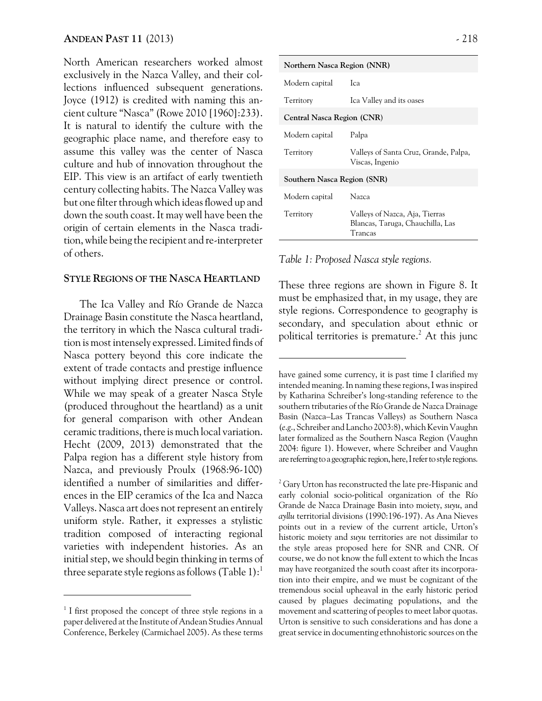North American researchers worked almost exclusively in the Nazca Valley, and their collections influenced subsequent generations. Joyce (1912) is credited with naming this ancient culture "Nasca" (Rowe 2010 [1960]:233). It is natural to identify the culture with the geographic place name, and therefore easy to assume this valley was the center of Nasca culture and hub of innovation throughout the EIP. This view is an artifact of early twentieth century collecting habits. The Nazca Valley was but one filter through which ideas flowed up and down the south coast. It may well have been the origin of certain elements in the Nasca tradition, while being the recipient and re-interpreter of others.

### **STYLE REGIONS OF THE NASCA HEARTLAND**

The Ica Valley and Río Grande de Nazca Drainage Basin constitute the Nasca heartland, the territory in which the Nasca cultural tradition is most intensely expressed. Limited finds of Nasca pottery beyond this core indicate the extent of trade contacts and prestige influence without implying direct presence or control. While we may speak of a greater Nasca Style (produced throughout the heartland) as a unit for general comparison with other Andean ceramic traditions, there is much local variation. Hecht (2009, 2013) demonstrated that the Palpa region has a different style history from Nazca, and previously Proulx (1968:96-100) identified a number of similarities and differences in the EIP ceramics of the Ica and Nazca Valleys. Nasca art does not represent an entirely uniform style. Rather, it expresses a stylistic tradition composed of interacting regional varieties with independent histories. As an initial step, we should begin thinking in terms of three separate style regions as follows (Table 1):

| Northern Nasca Region (NNR) |                                                                               |  |  |  |
|-----------------------------|-------------------------------------------------------------------------------|--|--|--|
| Modern capital              | Ica.                                                                          |  |  |  |
| Territory                   | Ica Valley and its oases                                                      |  |  |  |
| Central Nasca Region (CNR)  |                                                                               |  |  |  |
| Modern capital              | Palpa                                                                         |  |  |  |
| Territory                   | Valleys of Santa Cruz, Grande, Palpa,<br>Viscas, Ingenio                      |  |  |  |
| Southern Nasca Region (SNR) |                                                                               |  |  |  |
| Modern capital              | Nazca                                                                         |  |  |  |
| Territory                   | Valleys of Nazca, Aja, Tierras<br>Blancas, Taruga, Chauchilla, Las<br>Trancas |  |  |  |

#### *Table 1: Proposed Nasca style regions.*

These three regions are shown in Figure 8. It must be emphasized that, in my usage, they are style regions. Correspondence to geography is secondary, and speculation about ethnic or political territories is premature. $^2$  At this junc

 $^2$  Gary Urton has reconstructed the late pre-Hispanic and early colonial socio-political organization of the Río Grande de Nazca Drainage Basin into moiety, *suyu*, and *ayllu* territorial divisions (1990:196-197). As Ana Nieves points out in a review of the current article, Urton's historic moiety and *suyu* territories are not dissimilar to the style areas proposed here for SNR and CNR. Of course, we do not know the full extent to which the Incas may have reorganized the south coast after its incorporation into their empire, and we must be cognizant of the tremendous social upheaval in the early historic period caused by plagues decimating populations, and the movement and scattering of peoples to meet labor quotas. Urton is sensitive to such considerations and has done a great service in documenting ethnohistoric sources on the

<sup>&</sup>lt;sup>1</sup> I first proposed the concept of three style regions in a paper delivered at the Institute of Andean Studies Annual Conference, Berkeley (Carmichael 2005). As these terms

have gained some currency, it is past time I clarified my intended meaning. In naming these regions, I was inspired by Katharina Schreiber's long-standing reference to the southern tributaries of the Río Grande de Nazca Drainage Basin (Nazca–Las Trancas Valleys) as Southern Nasca (*e*.*g*., Schreiber and Lancho 2003:8), which Kevin Vaughn later formalized as the Southern Nasca Region (Vaughn 2004: figure 1). However, where Schreiber and Vaughn are referring to a geographic region, here, I refer to style regions.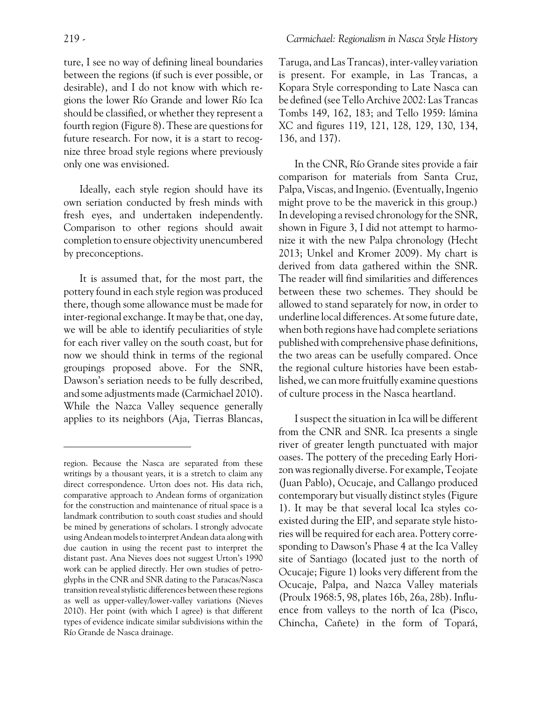ture, I see no way of defining lineal boundaries between the regions (if such is ever possible, or desirable), and I do not know with which regions the lower Río Grande and lower Río Ica should be classified, or whether they represent a fourth region (Figure 8). These are questions for future research. For now, it is a start to recognize three broad style regions where previously only one was envisioned.

Ideally, each style region should have its own seriation conducted by fresh minds with fresh eyes, and undertaken independently. Comparison to other regions should await completion to ensure objectivity unencumbered by preconceptions.

It is assumed that, for the most part, the pottery found in each style region was produced there, though some allowance must be made for inter-regional exchange. It may be that, one day, we will be able to identify peculiarities of style for each river valley on the south coast, but for now we should think in terms of the regional groupings proposed above. For the SNR, Dawson's seriation needs to be fully described, and some adjustments made (Carmichael 2010). While the Nazca Valley sequence generally applies to its neighbors (Aja, Tierras Blancas, Taruga, and Las Trancas), inter-valley variation is present. For example, in Las Trancas, a Kopara Style corresponding to Late Nasca can be defined (see Tello Archive 2002: Las Trancas Tombs 149, 162, 183; and Tello 1959: lámina XC and figures 119, 121, 128, 129, 130, 134, 136, and 137).

In the CNR, Río Grande sites provide a fair comparison for materials from Santa Cruz, Palpa, Viscas, and Ingenio. (Eventually, Ingenio might prove to be the maverick in this group.) In developing a revised chronology for the SNR, shown in Figure 3, I did not attempt to harmonize it with the new Palpa chronology (Hecht 2013; Unkel and Kromer 2009). My chart is derived from data gathered within the SNR. The reader will find similarities and differences between these two schemes. They should be allowed to stand separately for now, in order to underline local differences. At some future date, when both regions have had complete seriations published with comprehensive phase definitions, the two areas can be usefully compared. Once the regional culture histories have been established, we can more fruitfully examine questions of culture process in the Nasca heartland.

I suspect the situation in Ica will be different from the CNR and SNR. Ica presents a single river of greater length punctuated with major oases. The pottery of the preceding Early Horizon was regionally diverse. For example, Teojate (Juan Pablo), Ocucaje, and Callango produced contemporary but visually distinct styles (Figure 1). It may be that several local Ica styles coexisted during the EIP, and separate style histories will be required for each area. Pottery corresponding to Dawson's Phase 4 at the Ica Valley site of Santiago (located just to the north of Ocucaje; Figure 1) looks very different from the Ocucaje, Palpa, and Nazca Valley materials (Proulx 1968:5, 98, plates 16b, 26a, 28b). Influence from valleys to the north of Ica (Pisco, Chincha, Cañete) in the form of Topará,

region. Because the Nasca are separated from these writings by a thousant years, it is a stretch to claim any direct correspondence. Urton does not. His data rich, comparative approach to Andean forms of organization for the construction and maintenance of ritual space is a landmark contribution to south coast studies and should be mined by generations of scholars. I strongly advocate using Andean models to interpret Andean data along with due caution in using the recent past to interpret the distant past. Ana Nieves does not suggest Urton's 1990 work can be applied directly. Her own studies of petroglyphs in the CNR and SNR dating to the Paracas/Nasca transition reveal stylistic differences between these regions as well as upper-valley/lower-valley variations (Nieves 2010). Her point (with which I agree) is that different types of evidence indicate similar subdivisions within the Río Grande de Nasca drainage.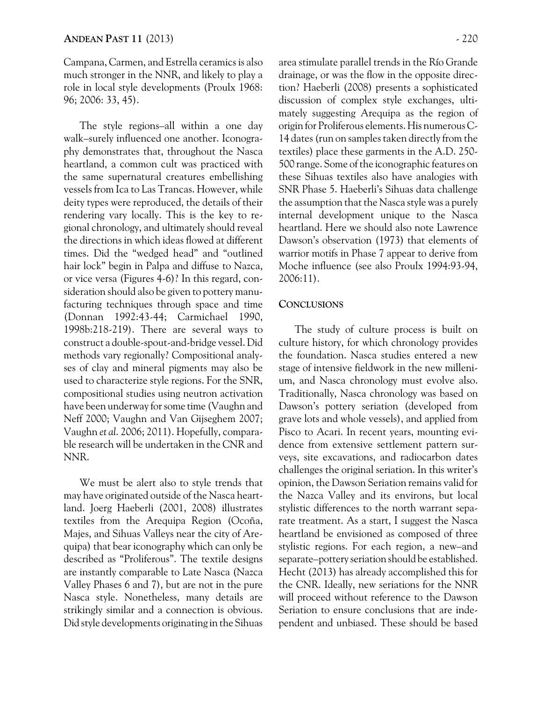Campana, Carmen, and Estrella ceramics is also much stronger in the NNR, and likely to play a role in local style developments (Proulx 1968: 96; 2006: 33, 45).

The style regions–all within a one day walk–surely influenced one another. Iconography demonstrates that, throughout the Nasca heartland, a common cult was practiced with the same supernatural creatures embellishing vessels from Ica to Las Trancas. However, while deity types were reproduced, the details of their rendering vary locally. This is the key to regional chronology, and ultimately should reveal the directions in which ideas flowed at different times. Did the "wedged head" and "outlined hair lock" begin in Palpa and diffuse to Nazca, or vice versa (Figures 4-6)? In this regard, consideration should also be given to pottery manufacturing techniques through space and time (Donnan 1992:43-44; Carmichael 1990, 1998b:218-219). There are several ways to construct a double-spout-and-bridge vessel. Did methods vary regionally? Compositional analyses of clay and mineral pigments may also be used to characterize style regions. For the SNR, compositional studies using neutron activation have been underway for some time (Vaughn and Neff 2000; Vaughn and Van Gijseghem 2007; Vaughn *et al*. 2006; 2011). Hopefully, comparable research will be undertaken in the CNR and NNR.

We must be alert also to style trends that may have originated outside of the Nasca heartland. Joerg Haeberli (2001, 2008) illustrates textiles from the Arequipa Region (Ocoña, Majes, and Sihuas Valleys near the city of Arequipa) that bear iconography which can only be described as "Proliferous". The textile designs are instantly comparable to Late Nasca (Nazca Valley Phases 6 and 7), but are not in the pure Nasca style. Nonetheless, many details are strikingly similar and a connection is obvious. Did style developments originating in the Sihuas area stimulate parallel trends in the Río Grande drainage, or was the flow in the opposite direction? Haeberli (2008) presents a sophisticated discussion of complex style exchanges, ultimately suggesting Arequipa as the region of origin for Proliferous elements. His numerous C-14 dates (run on samples taken directly from the textiles) place these garments in the A.D. 250- 500 range. Some of the iconographic features on these Sihuas textiles also have analogies with SNR Phase 5. Haeberli's Sihuas data challenge the assumption that the Nasca style was a purely internal development unique to the Nasca heartland. Here we should also note Lawrence Dawson's observation (1973) that elements of warrior motifs in Phase 7 appear to derive from Moche influence (see also Proulx 1994:93-94, 2006:11).

## **CONCLUSIONS**

The study of culture process is built on culture history, for which chronology provides the foundation. Nasca studies entered a new stage of intensive fieldwork in the new millenium, and Nasca chronology must evolve also. Traditionally, Nasca chronology was based on Dawson's pottery seriation (developed from grave lots and whole vessels), and applied from Pisco to Acari. In recent years, mounting evidence from extensive settlement pattern surveys, site excavations, and radiocarbon dates challenges the original seriation. In this writer's opinion, the Dawson Seriation remains valid for the Nazca Valley and its environs, but local stylistic differences to the north warrant separate treatment. As a start, I suggest the Nasca heartland be envisioned as composed of three stylistic regions. For each region, a new–and separate–pottery seriation should be established. Hecht (2013) has already accomplished this for the CNR. Ideally, new seriations for the NNR will proceed without reference to the Dawson Seriation to ensure conclusions that are independent and unbiased. These should be based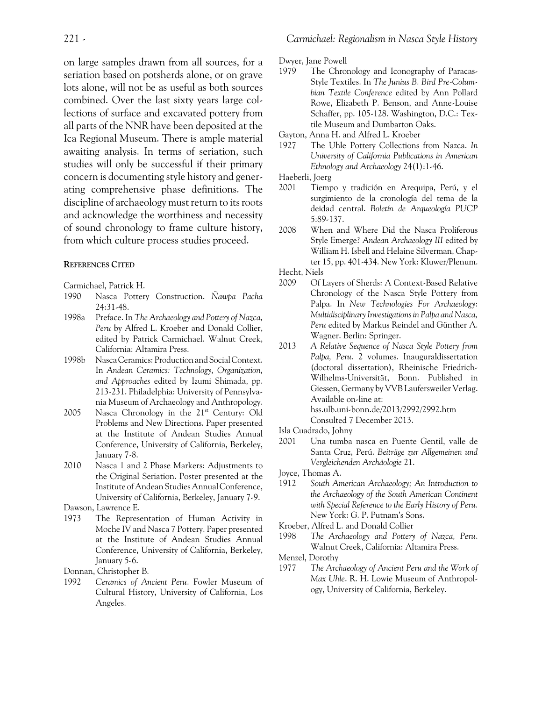on large samples drawn from all sources, for a seriation based on potsherds alone, or on grave lots alone, will not be as useful as both sources combined. Over the last sixty years large collections of surface and excavated pottery from all parts of the NNR have been deposited at the Ica Regional Museum. There is ample material awaiting analysis. In terms of seriation, such studies will only be successful if their primary concern is documenting style history and generating comprehensive phase definitions. The discipline of archaeology must return to its roots and acknowledge the worthiness and necessity of sound chronology to frame culture history, from which culture process studies proceed.

#### **REFERENCES CITED**

Carmichael, Patrick H.

- 1990 Nasca Pottery Construction. *Ñawpa Pacha* 24:31-48.
- 1998a Preface. In *The Archaeology and Pottery of Nazca, Peru* by Alfred L. Kroeber and Donald Collier, edited by Patrick Carmichael. Walnut Creek, California: Altamira Press.
- 1998b Nasca Ceramics: Production and Social Context. In *Andean Ceramics: Technology, Organization, and Approaches* edited by Izumi Shimada, pp. 213-231. Philadelphia: University of Pennsylvania Museum of Archaeology and Anthropology.
- 2005 Nasca Chronology in the  $21<sup>st</sup>$  Century: Old Problems and New Directions. Paper presented at the Institute of Andean Studies Annual Conference, University of California, Berkeley, January 7-8.
- 2010 Nasca 1 and 2 Phase Markers: Adjustments to the Original Seriation. Poster presented at the Institute of Andean Studies Annual Conference, University of California, Berkeley, January 7-9.

Dawson, Lawrence E.

1973 The Representation of Human Activity in Moche IV and Nasca 7 Pottery. Paper presented at the Institute of Andean Studies Annual Conference, University of California, Berkeley, January 5-6.

Donnan, Christopher B.

1992 *Ceramics of Ancient Peru*. Fowler Museum of Cultural History, University of California, Los Angeles.

Dwyer, Jane Powell

1979 The Chronology and Iconography of Paracas-Style Textiles. In *The Junius B. Bird Pre-Columbian Textile Conference* edited by Ann Pollard Rowe, Elizabeth P. Benson, and Anne-Louise Schaffer, pp. 105-128. Washington, D.C.: Textile Museum and Dumbarton Oaks.

Gayton, Anna H. and Alfred L. Kroeber

- 1927 The Uhle Pottery Collections from Nazca. *In University of California Publications in American Ethnology and Archaeology* 24(1):1-46.
- Haeberli, Joerg
- 2001 Tiempo y tradición en Arequipa, Perú, y el surgimiento de la cronología del tema de la deidad central. *Boletín de Arqueología PUCP* 5:89-137.
- 2008 When and Where Did the Nasca Proliferous Style Emerge? *Andean Archaeology III* edited by William H. Isbell and Helaine Silverman, Chapter 15, pp. 401-434. New York: Kluwer/Plenum.

Hecht, Niels

- 2009 Of Layers of Sherds: A Context-Based Relative Chronology of the Nasca Style Pottery from Palpa. In *New Technologies For Archaeology*: *Multidisciplinary Investigations in Palpa and Nasca, Peru* edited by Markus Reindel and Günther A. Wagner. Berlin: Springer.
- 2013 *A Relative Sequence of Nasca Style Pottery from Palpa, Peru*. 2 volumes. Inauguraldissertation (doctoral dissertation), Rheinische Friedrich-Wilhelms-Universität, Bonn. Published in Giessen, Germany by VVB Laufersweiler Verlag. Available on-line at: hss.ulb.uni-bonn.de/2013/2992/2992.htm Consulted 7 December 2013.
- Isla Cuadrado, Johny
- 2001 Una tumba nasca en Puente Gentil, valle de Santa Cruz, Perú. *Beiträge zur Allgemeinen und Vergleichenden Archäologie* 21.

Joyce, Thomas A.

- 1912 *South American Archaeology; An Introduction to the Archaeology of the South American Continent with Special Reference to the Early History of Peru.* New York: G. P. Putnam's Sons.
- Kroeber, Alfred L. and Donald Collier
- 1998 *The Archaeology and Pottery of Nazca, Peru*. Walnut Creek, California: Altamira Press.

Menzel, Dorothy

1977 *The Archaeology of Ancient Peru and the Work of Max Uhle*. R. H. Lowie Museum of Anthropology, University of California, Berkeley.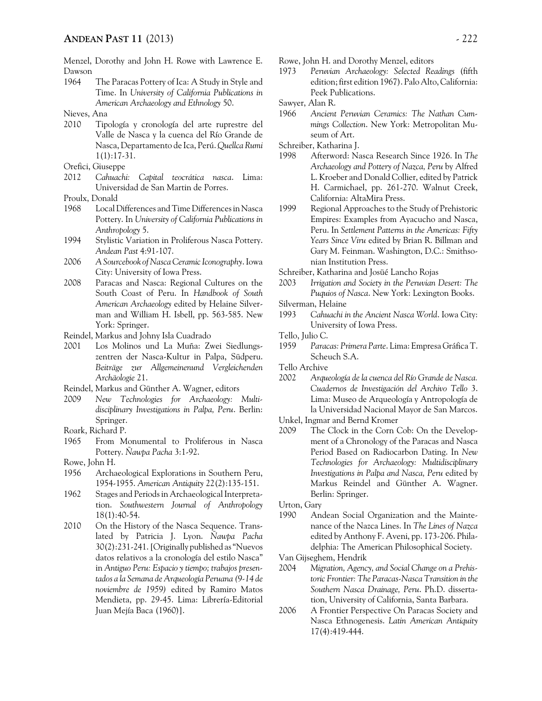Menzel, Dorothy and John H. Rowe with Lawrence E. Dawson

1964 The Paracas Pottery of Ica: A Study in Style and Time. In *University of California Publications in American Archaeology and Ethnology* 50.

Nieves, Ana

2010 Tipología y cronología del arte ruprestre del Valle de Nasca y la cuenca del Río Grande de Nasca, Departamento de Ica, Perú. *Quellca Rumi* 1(1):17-31.

Orefici, Giuseppe

2012 *Cahuachi: Capital teocrática nasca*. Lima: Universidad de San Martin de Porres.

Proulx, Donald

- 1968 Local Differences and Time Differences in Nasca Pottery. In *University of California Publications in Anthropology* 5.
- 1994 Stylistic Variation in Proliferous Nasca Pottery. *Andean Past* 4:91-107.
- 2006 *A Sourcebook of Nasca Ceramic Iconography*. Iowa City: University of Iowa Press.
- 2008 Paracas and Nasca: Regional Cultures on the South Coast of Peru. In *Handbook of South American Archaeology* edited by Helaine Silverman and William H. Isbell, pp. 563-585. New York: Springer.
- Reindel, Markus and Johny Isla Cuadrado
- 2001 Los Molinos und La Muña: Zwei Siedlungszentren der Nasca-Kultur in Palpa, Südperu. *Beiträge zur Allgemeinenund Vergleichenden Archäologie* 21.
- Reindel, Markus and Günther A. Wagner, editors
- 2009 *New Technologies for Archaeology: Multidisciplinary Investigations in Palpa, Peru*. Berlin: Springer.
- Roark, Richard P.
- 1965 From Monumental to Proliferous in Nasca Pottery. *Ñawpa Pacha* 3:1-92.

Rowe, John H.

- 1956 Archaeological Explorations in Southern Peru, 1954-1955. *American Antiquity* 22(2):135-151.
- 1962 Stages and Periods in Archaeological Interpretation. *Southwestern Journal of Anthropology* 18(1):40-54.
- 2010 On the History of the Nasca Sequence. Translated by Patricia J. Lyon. *Ñawpa Pacha* 30(2):231-241. [Originally published as "Nuevos datos relativos a la cronología del estilo Nasca" in *Antiguo Peru: Espacio y tiempo; trabajos presentados a la Semana de Arqueología Peruana (9-14 de noviembre de 1959)* edited by Ramiro Matos Mendieta, pp. 29-45. Lima: Librería-Editorial Juan Mejía Baca (1960)].

Rowe, John H. and Dorothy Menzel, editors

- 1973 *Peruvian Archaeology: Selected Readings* (fifth edition; first edition 1967). Palo Alto, California: Peek Publications.
- Sawyer, Alan R.
- 1966 *Ancient Peruvian Ceramics: The Nathan Cummings Collection*. New York: Metropolitan Museum of Art.
- Schreiber, Katharina J.
- 1998 Afterword: Nasca Research Since 1926. In *The Archaeology and Pottery of Nazca, Peru* by Alfred L. Kroeber and Donald Collier, edited by Patrick H. Carmichael, pp. 261-270. Walnut Creek, California: AltaMira Press.
- 1999 Regional Approaches to the Study of Prehistoric Empires: Examples from Ayacucho and Nasca, Peru. In *Settlement Patterns in the Americas: Fifty Years Since Viru* edited by Brian R. Billman and Gary M. Feinman. Washington, D.C.: Smithsonian Institution Press.

Schreiber, Katharina and Josüé Lancho Rojas

- 2003 *Irrigation and Society in the Peruvian Desert: The Puquios of Nasca*. New York: Lexington Books.
- Silverman, Helaine
- 1993 *Cahuachi in the Ancient Nasca World*. Iowa City: University of Iowa Press.
- Tello, Julio C.
- 1959 *Paracas: Primera Parte*. Lima: Empresa Gráfica T. Scheuch S.A.
- Tello Archive
- 2002 *Arqueología de la cuenca del Río Grande de Nasca. Cuadernos de Investigación del Archivo Tello* 3. Lima: Museo de Arqueología y Antropología de la Universidad Nacional Mayor de San Marcos.
- Unkel, Ingmar and Bernd Kromer
- 2009 The Clock in the Corn Cob: On the Development of a Chronology of the Paracas and Nasca Period Based on Radiocarbon Dating. In *New Technologies for Archaeology: Multidisciplinary Investigations in Palpa and Nasca, Peru* edited by Markus Reindel and Günther A. Wagner. Berlin: Springer.

Urton, Gary

1990 Andean Social Organization and the Maintenance of the Nazca Lines. In *The Lines of Nazca* edited by Anthony F. Aveni, pp. 173-206. Philadelphia: The American Philosophical Society.

Van Gijseghem, Hendrik

- 2004 *Migration, Agency, and Social Change on a Prehistoric Frontier: The Paracas-Nasca Transition in the Southern Nasca Drainage, Peru*. Ph.D. dissertation, University of California, Santa Barbara.
- 2006 A Frontier Perspective On Paracas Society and Nasca Ethnogenesis. *Latin American Antiquity* 17(4):419-444.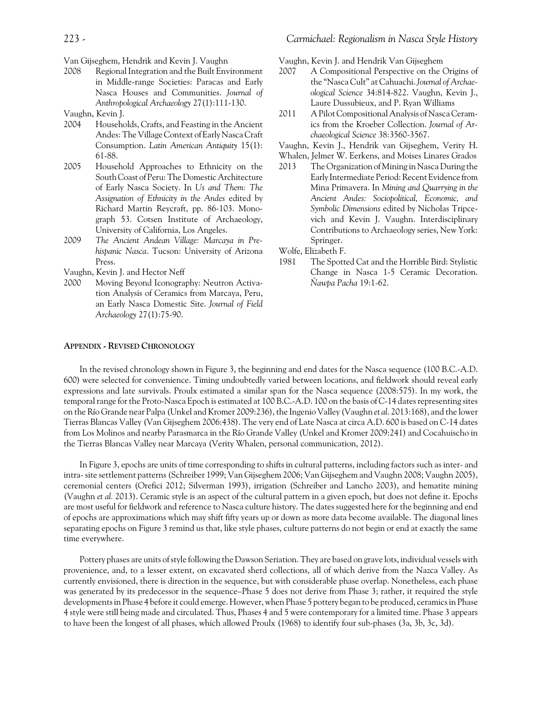Van Gijseghem, Hendrik and Kevin J. Vaughn

- 2008 Regional Integration and the Built Environment in Middle-range Societies: Paracas and Early Nasca Houses and Communities. *Journal of Anthropological Archaeology* 27(1):111-130.
- Vaughn, Kevin J.
- 2004 Households, Crafts, and Feasting in the Ancient Andes: The Village Context of Early Nasca Craft Consumption. *Latin American Antiquity* 15(1): 61-88.
- 2005 Household Approaches to Ethnicity on the South Coast of Peru: The Domestic Architecture of Early Nasca Society. In *Us and Them: The Assignation of Ethnicity in the Andes* edited by Richard Martin Reycraft, pp. 86-103. Monograph 53. Cotsen Institute of Archaeology, University of California, Los Angeles.
- 2009 *The Ancient Andean Village: Marcaya in Prehispanic Nasca*. Tucson: University of Arizona Press.

Vaughn, Kevin J. and Hector Neff

2000 Moving Beyond Iconography: Neutron Activation Analysis of Ceramics from Marcaya, Peru, an Early Nasca Domestic Site. *Journal of Field Archaeology* 27(1):75-90.

Vaughn, Kevin J. and Hendrik Van Gijseghem

- 2007 A Compositional Perspective on the Origins of the "Nasca Cult" at Cahuachi. *Journal of Archaeological Science* 34:814-822. Vaughn, Kevin J., Laure Dussubieux, and P. Ryan Williams
- 2011 A Pilot Compositional Analysis of Nasca Ceramics from the Kroeber Collection. *Journal of Archaeological Science* 38:3560-3567.
- Vaughn, Kevin J., Hendrik van Gijseghem, Verity H.
- Whalen, Jelmer W. Eerkens, and Moises Linares Grados
- 2013 The Organization of Mining in Nasca During the Early Intermediate Period: Recent Evidence from Mina Primavera. In *Mining and Quarrying in the Ancient Andes: Sociopolitical, Economic, and Symbolic Dimensions* edited by Nicholas Tripcevich and Kevin J. Vaughn. Interdisciplinary Contributions to Archaeology series, New York: Springer.

Wolfe, Elizabeth F.

1981 The Spotted Cat and the Horrible Bird: Stylistic Change in Nasca 1-5 Ceramic Decoration. *Ñawpa Pacha* 19:1-62.

#### **APPENDIX - REVISED CHRONOLOGY**

In the revised chronology shown in Figure 3, the beginning and end dates for the Nasca sequence (100 B.C.-A.D. 600) were selected for convenience. Timing undoubtedly varied between locations, and fieldwork should reveal early expressions and late survivals. Proulx estimated a similar span for the Nasca sequence (2008:575). In my work, the temporal range for the Proto-Nasca Epoch is estimated at 100 B.C.-A.D. 100 on the basis of C-14 dates representing sites on the Río Grande near Palpa (Unkel and Kromer 2009:236), the Ingenio Valley (Vaughn *et al*. 2013:168), and the lower Tierras Blancas Valley (Van Gijseghem 2006:438). The very end of Late Nasca at circa A.D. 600 is based on C-14 dates from Los Molinos and nearby Parasmarca in the Río Grande Valley (Unkel and Kromer 2009:241) and Cocahuischo in the Tierras Blancas Valley near Marcaya (Verity Whalen, personal communication, 2012).

In Figure 3, epochs are units of time corresponding to shifts in cultural patterns, including factors such as inter- and intra- site settlement patterns (Schreiber 1999; Van Gijseghem 2006; Van Gijseghem and Vaughn 2008; Vaughn 2005), ceremonial centers (Orefici 2012; Silverman 1993), irrigation (Schreiber and Lancho 2003), and hematite mining (Vaughn *et al.* 2013). Ceramic style is an aspect of the cultural pattern in a given epoch, but does not define it. Epochs are most useful for fieldwork and reference to Nasca culture history. The dates suggested here for the beginning and end of epochs are approximations which may shift fifty years up or down as more data become available. The diagonal lines separating epochs on Figure 3 remind us that, like style phases, culture patterns do not begin or end at exactly the same time everywhere.

Pottery phases are units of style following the Dawson Seriation. They are based on grave lots, individual vessels with provenience, and, to a lesser extent, on excavated sherd collections, all of which derive from the Nazca Valley. As currently envisioned, there is direction in the sequence, but with considerable phase overlap. Nonetheless, each phase was generated by its predecessor in the sequence–Phase 5 does not derive from Phase 3; rather, it required the style developments in Phase 4 before it could emerge. However, when Phase 5 pottery began to be produced, ceramics in Phase 4 style were still being made and circulated. Thus, Phases 4 and 5 were contemporary for a limited time. Phase 3 appears to have been the longest of all phases, which allowed Proulx (1968) to identify four sub-phases (3a, 3b, 3c, 3d).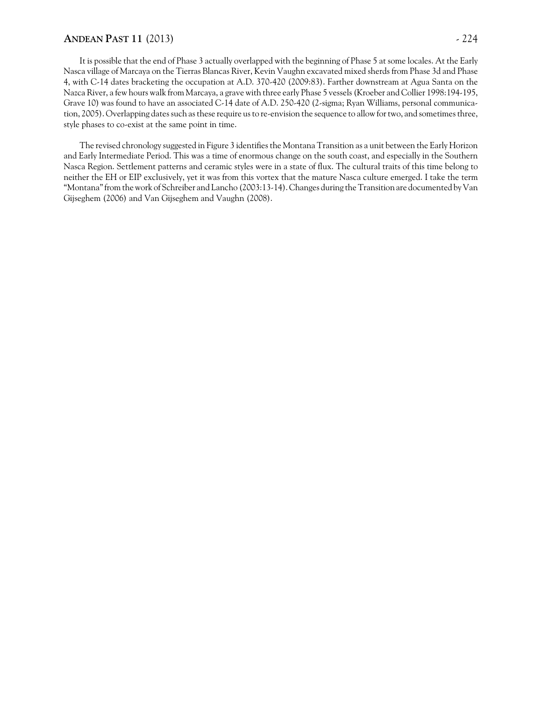### **ANDEAN PAST 11** (2013) - 224

It is possible that the end of Phase 3 actually overlapped with the beginning of Phase 5 at some locales. At the Early Nasca village of Marcaya on the Tierras Blancas River, Kevin Vaughn excavated mixed sherds from Phase 3d and Phase 4, with C-14 dates bracketing the occupation at A.D. 370-420 (2009:83). Farther downstream at Agua Santa on the Nazca River, a few hours walk from Marcaya, a grave with three early Phase 5 vessels (Kroeber and Collier 1998:194-195, Grave 10) was found to have an associated C-14 date of A.D. 250-420 (2-sigma; Ryan Williams, personal communication, 2005). Overlapping dates such as these require us to re-envision the sequence to allow for two, and sometimes three, style phases to co-exist at the same point in time.

The revised chronology suggested in Figure 3 identifies the Montana Transition as a unit between the Early Horizon and Early Intermediate Period. This was a time of enormous change on the south coast, and especially in the Southern Nasca Region. Settlement patterns and ceramic styles were in a state of flux. The cultural traits of this time belong to neither the EH or EIP exclusively, yet it was from this vortex that the mature Nasca culture emerged. I take the term "Montana" from the work of Schreiber and Lancho (2003:13-14). Changes during the Transition are documented by Van Gijseghem (2006) and Van Gijseghem and Vaughn (2008).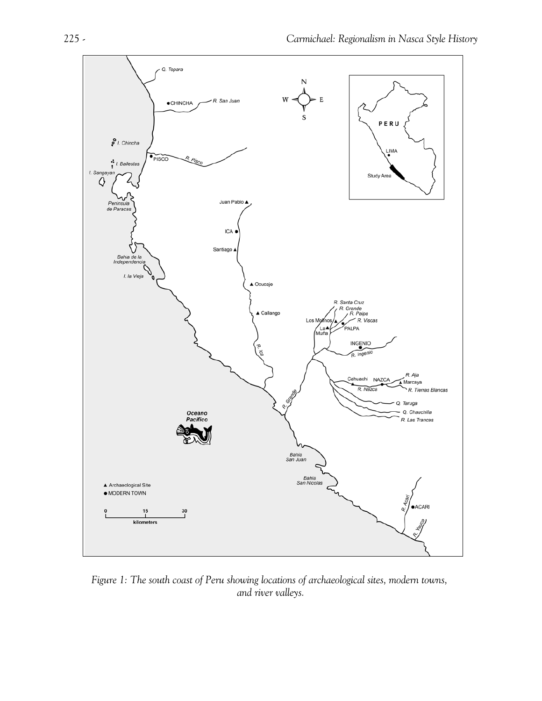

*Figure 1: The south coast of Peru showing locations of archaeological sites, modern towns, and river valleys.*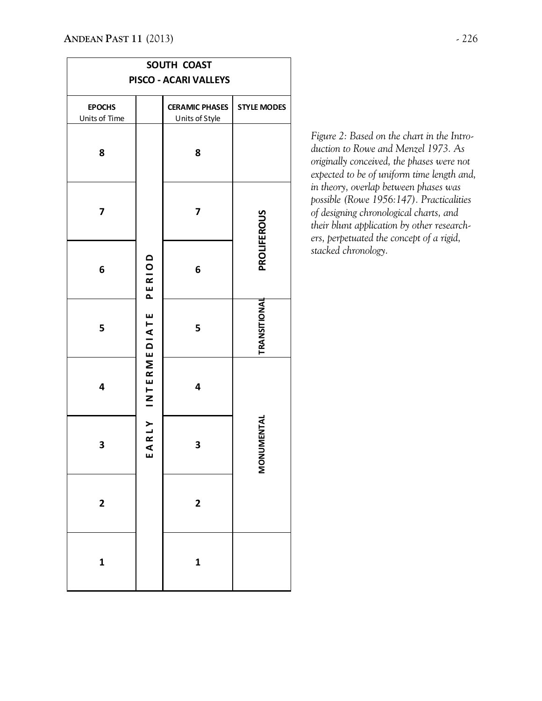| SOUTH COAST                    |                                            |                                         |                    |  |
|--------------------------------|--------------------------------------------|-----------------------------------------|--------------------|--|
| PISCO - ACARI VALLEYS          |                                            |                                         |                    |  |
| <b>EPOCHS</b><br>Units of Time |                                            | <b>CERAMIC PHASES</b><br>Units of Style | <b>STYLE MODES</b> |  |
| 8                              |                                            | 8                                       |                    |  |
| 7                              | PERIOD<br><b>INTERMEDIATE</b><br>ARLY<br>ш | 7                                       | <b>PROLIFEROUS</b> |  |
| 6                              |                                            | 6                                       |                    |  |
| 5                              |                                            | 5                                       | TRANSITIONAL       |  |
| 4                              |                                            | 4                                       |                    |  |
| 3                              |                                            | 3                                       | MONUMENTAL         |  |
| $\overline{\mathbf{c}}$        |                                            | $\overline{\mathbf{c}}$                 |                    |  |
| $\mathbf 1$                    |                                            | $\mathbf{1}$                            |                    |  |

*Figure 2: Based on the chart in the Introduction to Rowe and Menzel 1973. As originally conceived, the phases were not expected to be of uniform time length and, in theory, overlap between phases was possible (Rowe 1956:147). Practicalities of designing chronological charts, and their blunt application by other researchers, perpetuated the concept of a rigid, stacked chronology.*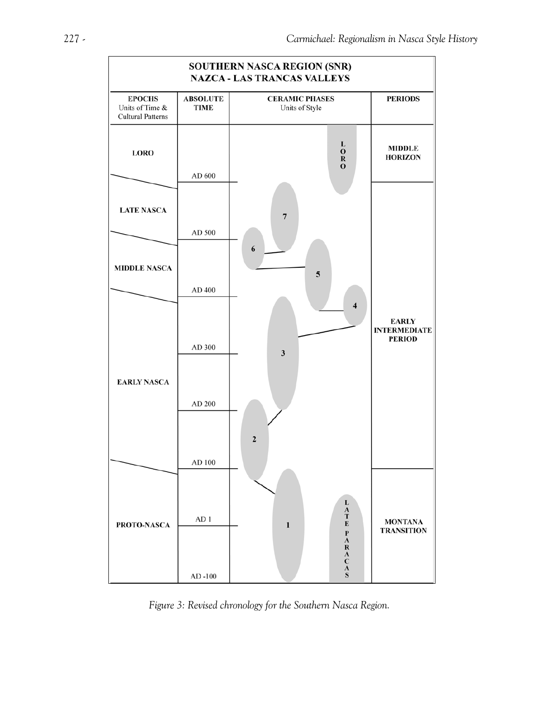

*Figure 3: Revised chronology for the Southern Nasca Region.*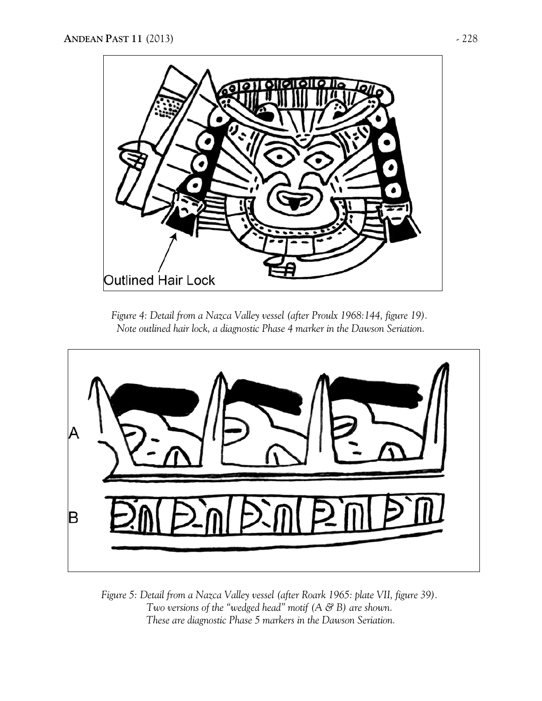

*Figure 4: Detail from a Nazca Valley vessel (after Proulx 1968:144, figure 19). Note outlined hair lock, a diagnostic Phase 4 marker in the Dawson Seriation.*



*Figure 5: Detail from a Nazca Valley vessel (after Roark 1965: plate VII, figure 39). Two versions of the "wedged head" motif (A & B) are shown. These are diagnostic Phase 5 markers in the Dawson Seriation.*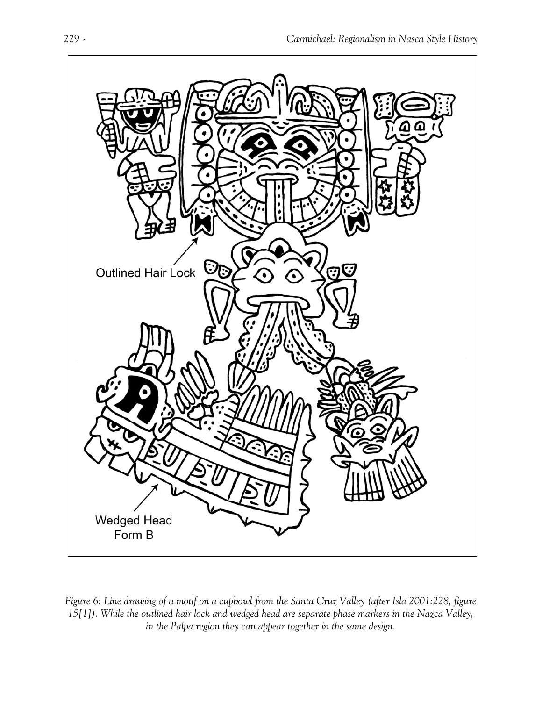

*Figure 6: Line drawing of a motif on a cupbowl from the Santa Cruz Valley (after Isla 2001:228, figure 15[1]). While the outlined hair lock and wedged head are separate phase markers in the Nazca Valley, in the Palpa region they can appear together in the same design.*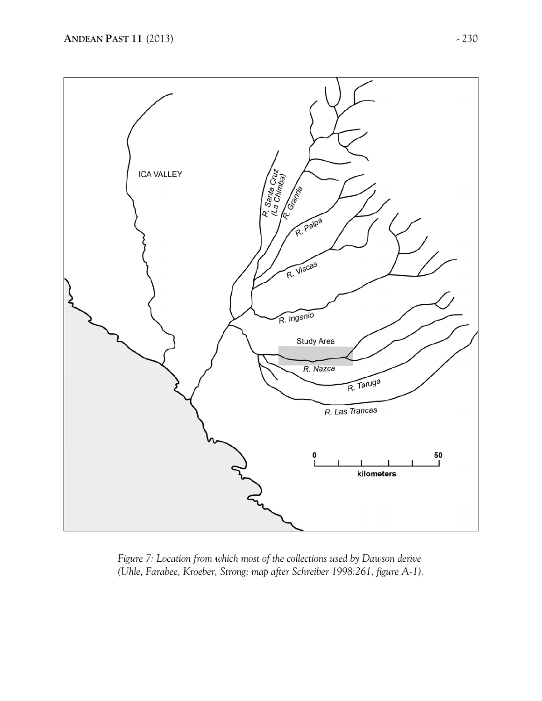

*Figure 7: Location from which most of the collections used by Dawson derive (Uhle, Farabee, Kroeber, Strong; map after Schreiber 1998:261, figure A-1).*